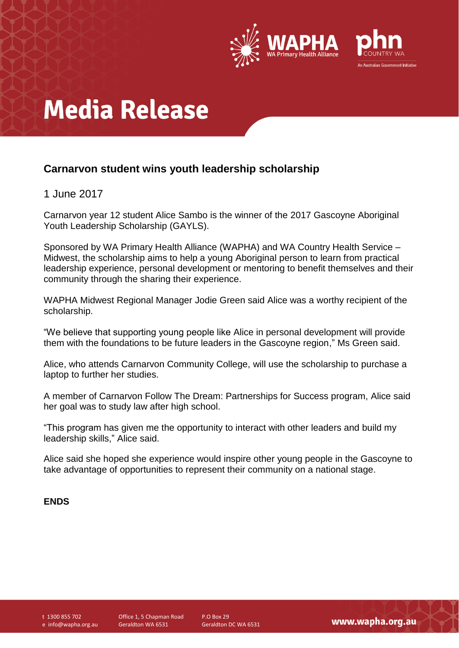

# **Media Release**

### **Carnarvon student wins youth leadership scholarship**

### 1 June 2017

Carnarvon year 12 student Alice Sambo is the winner of the 2017 Gascoyne Aboriginal Youth Leadership Scholarship (GAYLS).

Sponsored by WA Primary Health Alliance (WAPHA) and WA Country Health Service – Midwest, the scholarship aims to help a young Aboriginal person to learn from practical leadership experience, personal development or mentoring to benefit themselves and their community through the sharing their experience.

WAPHA Midwest Regional Manager Jodie Green said Alice was a worthy recipient of the scholarship.

"We believe that supporting young people like Alice in personal development will provide them with the foundations to be future leaders in the Gascoyne region," Ms Green said.

Alice, who attends Carnarvon Community College, will use the scholarship to purchase a laptop to further her studies.

A member of Carnarvon Follow The Dream: Partnerships for Success program, Alice said her goal was to study law after high school.

"This program has given me the opportunity to interact with other leaders and build my leadership skills," Alice said.

Alice said she hoped she experience would inspire other young people in the Gascoyne to take advantage of opportunities to represent their community on a national stage.

#### **ENDS**

t 1300 855 702 e info@wapha.org.au Office 1, 5 Chapman Road Geraldton WA 6531

P.O Box 29 Geraldton DC WA 6531

www.wapha.org.au